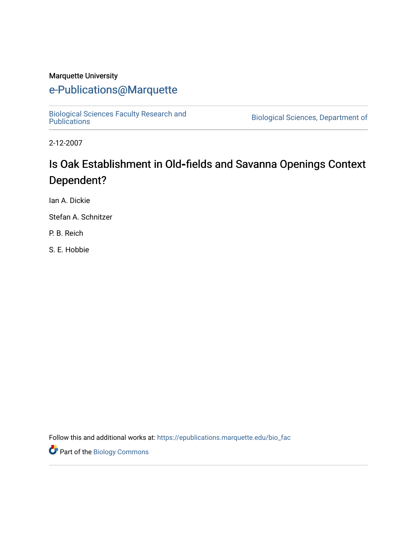#### Marquette University

# [e-Publications@Marquette](https://epublications.marquette.edu/)

[Biological Sciences Faculty Research and](https://epublications.marquette.edu/bio_fac) 

Biological Sciences, Department of

2-12-2007

# Is Oak Establishment in Old**‐**fields and Savanna Openings Context Dependent?

Ian A. Dickie

Stefan A. Schnitzer

P. B. Reich

S. E. Hobbie

Follow this and additional works at: [https://epublications.marquette.edu/bio\\_fac](https://epublications.marquette.edu/bio_fac?utm_source=epublications.marquette.edu%2Fbio_fac%2F724&utm_medium=PDF&utm_campaign=PDFCoverPages) 

Part of the [Biology Commons](http://network.bepress.com/hgg/discipline/41?utm_source=epublications.marquette.edu%2Fbio_fac%2F724&utm_medium=PDF&utm_campaign=PDFCoverPages)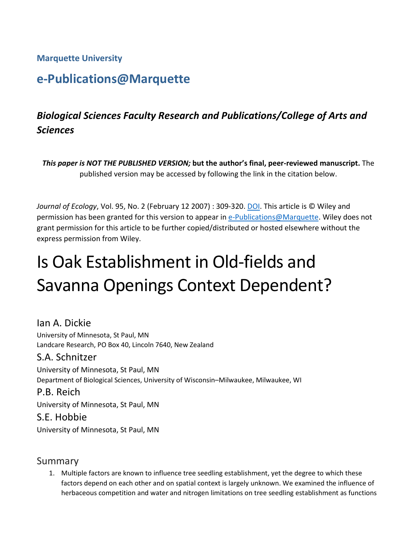**Marquette University**

# **e-Publications@Marquette**

# *Biological Sciences Faculty Research and Publications/College of Arts and Sciences*

*This paper is NOT THE PUBLISHED VERSION;* **but the author's final, peer-reviewed manuscript.** The published version may be accessed by following the link in the citation below.

*Journal of Ecology*, Vol. 95, No. 2 (February 12 2007) : 309-320. [DOI.](https://besjournals.onlinelibrary.wiley.com/doi/full/10.1111/j.1365-2745.2006.01202.x) This article is © Wiley and permission has been granted for this version to appear in [e-Publications@Marquette.](http://epublications.marquette.edu/) Wiley does not grant permission for this article to be further copied/distributed or hosted elsewhere without the express permission from Wiley.

# Is Oak Establishment in Old-fields and Savanna Openings Context Dependent?

Ian A. Dickie University of Minnesota, St Paul, MN Landcare Research, PO Box 40, Lincoln 7640, New Zealand S.A. Schnitzer University of Minnesota, St Paul, MN Department of Biological Sciences, University of Wisconsin–Milwaukee, Milwaukee, WI P.B. Reich University of Minnesota, St Paul, MN S.E. Hobbie

University of Minnesota, St Paul, MN

#### Summary

1. Multiple factors are known to influence tree seedling establishment, yet the degree to which these factors depend on each other and on spatial context is largely unknown. We examined the influence of herbaceous competition and water and nitrogen limitations on tree seedling establishment as functions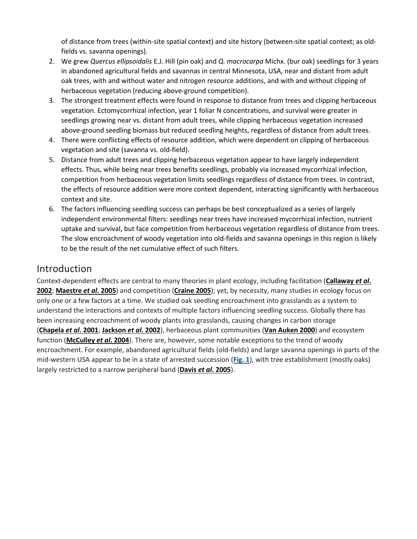of distance from trees (within-site spatial context) and site history (between-site spatial context; as oldfields vs. savanna openings).

- 2. We grew *Quercus ellipsoidalis* E.J. Hill (pin oak) and *Q. macrocarpa* Michx. (bur oak) seedlings for 3 years in abandoned agricultural fields and savannas in central Minnesota, USA, near and distant from adult oak trees, with and without water and nitrogen resource additions, and with and without clipping of herbaceous vegetation (reducing above-ground competition).
- 3. The strongest treatment effects were found in response to distance from trees and clipping herbaceous vegetation. Ectomycorrhizal infection, year 1 foliar N concentrations, and survival were greater in seedlings growing near vs. distant from adult trees, while clipping herbaceous vegetation increased above-ground seedling biomass but reduced seedling heights, regardless of distance from adult trees.
- 4. There were conflicting effects of resource addition, which were dependent on clipping of herbaceous vegetation and site (savanna vs. old-field).
- 5. Distance from adult trees and clipping herbaceous vegetation appear to have largely independent effects. Thus, while being near trees benefits seedlings, probably via increased mycorrhizal infection, competition from herbaceous vegetation limits seedlings regardless of distance from trees. In contrast, the effects of resource addition were more context dependent, interacting significantly with herbaceous context and site.
- 6. The factors influencing seedling success can perhaps be best conceptualized as a series of largely independent environmental filters: seedlings near trees have increased mycorrhizal infection, nutrient uptake and survival, but face competition from herbaceous vegetation regardless of distance from trees. The slow encroachment of woody vegetation into old-fields and savanna openings in this region is likely to be the result of the net cumulative effect of such filters.

## **Introduction**

Context-dependent effects are central to many theories in plant ecology, including facilitation (**[Callaway](https://besjournals.onlinelibrary.wiley.com/doi/full/10.1111/j.1365-2745.2006.01202.x#b1)** *et al***. [2002](https://besjournals.onlinelibrary.wiley.com/doi/full/10.1111/j.1365-2745.2006.01202.x#b1)**; **[Maestre](https://besjournals.onlinelibrary.wiley.com/doi/full/10.1111/j.1365-2745.2006.01202.x#b2)** *et al***. 2005**) and competition (**[Craine 2005](https://besjournals.onlinelibrary.wiley.com/doi/full/10.1111/j.1365-2745.2006.01202.x#b3)**); yet, by necessity, many studies in ecology focus on only one or a few factors at a time. We studied oak seedling encroachment into grasslands as a system to understand the interactions and contexts of multiple factors influencing seedling success. Globally there has been increasing encroachment of woody plants into grasslands, causing changes in carbon storage (**[Chapela](https://besjournals.onlinelibrary.wiley.com/doi/full/10.1111/j.1365-2745.2006.01202.x#b4)** *et al***. 2001**; **[Jackson](https://besjournals.onlinelibrary.wiley.com/doi/full/10.1111/j.1365-2745.2006.01202.x#b5)** *et al***. 2002**), herbaceous plant communities (**[Van Auken 2000](https://besjournals.onlinelibrary.wiley.com/doi/full/10.1111/j.1365-2745.2006.01202.x#b6)**) and ecosystem function (**[McCulley](https://besjournals.onlinelibrary.wiley.com/doi/full/10.1111/j.1365-2745.2006.01202.x#b7)** *et al***. 2004**). There are, however, some notable exceptions to the trend of woody encroachment. For example, abandoned agricultural fields (old-fields) and large savanna openings in parts of the mid-western USA appear to be in a state of arrested succession (**[Fig.](https://besjournals.onlinelibrary.wiley.com/doi/full/10.1111/j.1365-2745.2006.01202.x#f1) 1**), with tree establishment (mostly oaks) largely restricted to a narrow peripheral band (**Davis** *et al***[. 2005](https://besjournals.onlinelibrary.wiley.com/doi/full/10.1111/j.1365-2745.2006.01202.x#b8)**).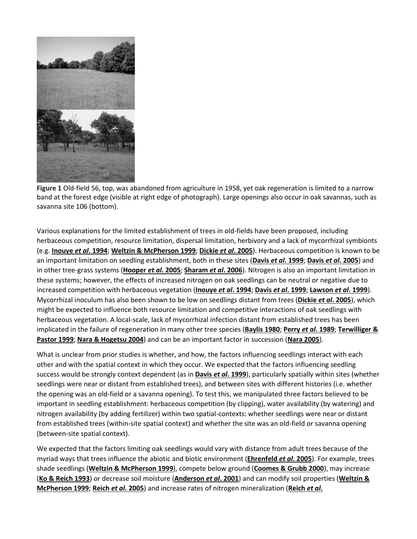

**Figure 1** Old-field 56, top, was abandoned from agriculture in 1958, yet oak regeneration is limited to a narrow band at the forest edge (visible at right edge of photograph). Large openings also occur in oak savannas, such as savanna site 106 (bottom).

Various explanations for the limited establishment of trees in old-fields have been proposed, including herbaceous competition, resource limitation, dispersal limitation, herbivory and a lack of mycorrhizal symbionts (e.g. **[Inouye](https://besjournals.onlinelibrary.wiley.com/doi/full/10.1111/j.1365-2745.2006.01202.x#b9)** *et al***. 1994**; **[Weltzin & McPherson 1999](https://besjournals.onlinelibrary.wiley.com/doi/full/10.1111/j.1365-2745.2006.01202.x#b10)**; **[Dickie](https://besjournals.onlinelibrary.wiley.com/doi/full/10.1111/j.1365-2745.2006.01202.x#b11)** *et al***. 2005**). Herbaceous competition is known to be an important limitation on seedling establishment, both in these sites (**Davis** *et al***[. 1999](https://besjournals.onlinelibrary.wiley.com/doi/full/10.1111/j.1365-2745.2006.01202.x#b12)**; **Davis** *et al***[. 2005](https://besjournals.onlinelibrary.wiley.com/doi/full/10.1111/j.1365-2745.2006.01202.x#b8)**) and in other tree-grass systems (**[Hooper](https://besjournals.onlinelibrary.wiley.com/doi/full/10.1111/j.1365-2745.2006.01202.x#b13)** *et al***. 2005**; **[Sharam](https://besjournals.onlinelibrary.wiley.com/doi/full/10.1111/j.1365-2745.2006.01202.x#b14)** *et al***. 2006**). Nitrogen is also an important limitation in these systems; however, the effects of increased nitrogen on oak seedlings can be neutral or negative due to increased competition with herbaceous vegetation (**[Inouye](https://besjournals.onlinelibrary.wiley.com/doi/full/10.1111/j.1365-2745.2006.01202.x#b9)** *et al***. 1994**; **Davis** *et al***[. 1999](https://besjournals.onlinelibrary.wiley.com/doi/full/10.1111/j.1365-2745.2006.01202.x#b12)**; **[Lawson](https://besjournals.onlinelibrary.wiley.com/doi/full/10.1111/j.1365-2745.2006.01202.x#b15)** *et al***. 1999**). Mycorrhizal inoculum has also been shown to be low on seedlings distant from trees (**[Dickie](https://besjournals.onlinelibrary.wiley.com/doi/full/10.1111/j.1365-2745.2006.01202.x#b11)** *et al***. 2005**), which might be expected to influence both resource limitation and competitive interactions of oak seedlings with herbaceous vegetation. A local-scale, lack of mycorrhizal infection distant from established trees has been implicated in the failure of regeneration in many other tree species (**[Baylis 1980](https://besjournals.onlinelibrary.wiley.com/doi/full/10.1111/j.1365-2745.2006.01202.x#b16)**; **Perry** *et al***[. 1989](https://besjournals.onlinelibrary.wiley.com/doi/full/10.1111/j.1365-2745.2006.01202.x#b17)**; **[Terwilliger &](https://besjournals.onlinelibrary.wiley.com/doi/full/10.1111/j.1365-2745.2006.01202.x#b18)  [Pastor 1999](https://besjournals.onlinelibrary.wiley.com/doi/full/10.1111/j.1365-2745.2006.01202.x#b18)**; **[Nara & Hogetsu 2004](https://besjournals.onlinelibrary.wiley.com/doi/full/10.1111/j.1365-2745.2006.01202.x#b19)**) and can be an important factor in succession (**[Nara 2005](https://besjournals.onlinelibrary.wiley.com/doi/full/10.1111/j.1365-2745.2006.01202.x#b20)**).

What is unclear from prior studies is whether, and how, the factors influencing seedlings interact with each other and with the spatial context in which they occur. We expected that the factors influencing seedling success would be strongly context dependent (as in **Davis** *et al***[. 1999](https://besjournals.onlinelibrary.wiley.com/doi/full/10.1111/j.1365-2745.2006.01202.x#b12)**), particularly spatially within sites (whether seedlings were near or distant from established trees), and between sites with different histories (i.e. whether the opening was an old-field or a savanna opening). To test this, we manipulated three factors believed to be important in seedling establishment: herbaceous competition (by clipping), water availability (by watering) and nitrogen availability (by adding fertilizer) within two spatial-contexts: whether seedlings were near or distant from established trees (within-site spatial context) and whether the site was an old-field or savanna opening (between-site spatial context).

We expected that the factors limiting oak seedlings would vary with distance from adult trees because of the myriad ways that trees influence the abiotic and biotic environment (**[Ehrenfeld](https://besjournals.onlinelibrary.wiley.com/doi/full/10.1111/j.1365-2745.2006.01202.x#b21)** *et al***. 2005**). For example, trees shade seedlings (**[Weltzin & McPherson 1999](https://besjournals.onlinelibrary.wiley.com/doi/full/10.1111/j.1365-2745.2006.01202.x#b10)**), compete below ground (**[Coomes & Grubb 2000](https://besjournals.onlinelibrary.wiley.com/doi/full/10.1111/j.1365-2745.2006.01202.x#b22)**), may increase (**[Ko & Reich 1993](https://besjournals.onlinelibrary.wiley.com/doi/full/10.1111/j.1365-2745.2006.01202.x#b23)**) or decrease soil moisture (**[Anderson](https://besjournals.onlinelibrary.wiley.com/doi/full/10.1111/j.1365-2745.2006.01202.x#b24)** *et al***. 2001**) and can modify soil properties (**[Weltzin &](https://besjournals.onlinelibrary.wiley.com/doi/full/10.1111/j.1365-2745.2006.01202.x#b10)  [McPherson 1999](https://besjournals.onlinelibrary.wiley.com/doi/full/10.1111/j.1365-2745.2006.01202.x#b10)**; **Reich** *et al***[. 2005](https://besjournals.onlinelibrary.wiley.com/doi/full/10.1111/j.1365-2745.2006.01202.x#b25)**) and increase rates of nitrogen mineralization (**[Reich](https://besjournals.onlinelibrary.wiley.com/doi/full/10.1111/j.1365-2745.2006.01202.x#b26)** *et al***.**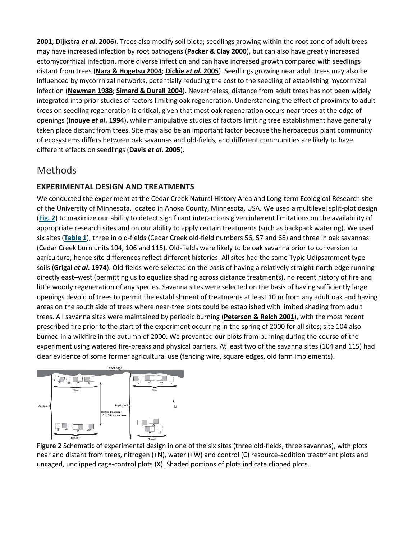**[2001](https://besjournals.onlinelibrary.wiley.com/doi/full/10.1111/j.1365-2745.2006.01202.x#b26)**; **[Dijkstra](https://besjournals.onlinelibrary.wiley.com/doi/full/10.1111/j.1365-2745.2006.01202.x#b27)** *et al***. 2006**). Trees also modify soil biota; seedlings growing within the root zone of adult trees may have increased infection by root pathogens (**[Packer & Clay 2000](https://besjournals.onlinelibrary.wiley.com/doi/full/10.1111/j.1365-2745.2006.01202.x#b28)**), but can also have greatly increased ectomycorrhizal infection, more diverse infection and can have increased growth compared with seedlings distant from trees (**[Nara & Hogetsu 2004](https://besjournals.onlinelibrary.wiley.com/doi/full/10.1111/j.1365-2745.2006.01202.x#b19)**; **Dickie** *et al***[. 2005](https://besjournals.onlinelibrary.wiley.com/doi/full/10.1111/j.1365-2745.2006.01202.x#b11)**). Seedlings growing near adult trees may also be influenced by mycorrhizal networks, potentially reducing the cost to the seedling of establishing mycorrhizal infection (**[Newman 1988](https://besjournals.onlinelibrary.wiley.com/doi/full/10.1111/j.1365-2745.2006.01202.x#b29)**; **[Simard & Durall 2004](https://besjournals.onlinelibrary.wiley.com/doi/full/10.1111/j.1365-2745.2006.01202.x#b30)**). Nevertheless, distance from adult trees has not been widely integrated into prior studies of factors limiting oak regeneration. Understanding the effect of proximity to adult trees on seedling regeneration is critical, given that most oak regeneration occurs near trees at the edge of openings (**[Inouye](https://besjournals.onlinelibrary.wiley.com/doi/full/10.1111/j.1365-2745.2006.01202.x#b9)** *et al***. 1994**), while manipulative studies of factors limiting tree establishment have generally taken place distant from trees. Site may also be an important factor because the herbaceous plant community of ecosystems differs between oak savannas and old-fields, and different communities are likely to have different effects on seedlings (**Davis** *et al***[. 2005](https://besjournals.onlinelibrary.wiley.com/doi/full/10.1111/j.1365-2745.2006.01202.x#b8)**).

## Methods

#### **EXPERIMENTAL DESIGN AND TREATMENTS**

We conducted the experiment at the Cedar Creek Natural History Area and Long-term Ecological Research site of the University of Minnesota, located in Anoka County, Minnesota, USA. We used a multilevel split-plot design (**[Fig.](https://besjournals.onlinelibrary.wiley.com/doi/full/10.1111/j.1365-2745.2006.01202.x#f2) 2**) to maximize our ability to detect significant interactions given inherent limitations on the availability of appropriate research sites and on our ability to apply certain treatments (such as backpack watering). We used six sites (**[Table](https://besjournals.onlinelibrary.wiley.com/doi/full/10.1111/j.1365-2745.2006.01202.x#t1) 1**), three in old-fields (Cedar Creek old-field numbers 56, 57 and 68) and three in oak savannas (Cedar Creek burn units 104, 106 and 115). Old-fields were likely to be oak savanna prior to conversion to agriculture; hence site differences reflect different histories. All sites had the same Typic Udipsamment type soils (**Grigal** *et al***[. 1974](https://besjournals.onlinelibrary.wiley.com/doi/full/10.1111/j.1365-2745.2006.01202.x#b31)**). Old-fields were selected on the basis of having a relatively straight north edge running directly east–west (permitting us to equalize shading across distance treatments), no recent history of fire and little woody regeneration of any species. Savanna sites were selected on the basis of having sufficiently large openings devoid of trees to permit the establishment of treatments at least 10 m from any adult oak and having areas on the south side of trees where near-tree plots could be established with limited shading from adult trees. All savanna sites were maintained by periodic burning (**[Peterson & Reich 2001](https://besjournals.onlinelibrary.wiley.com/doi/full/10.1111/j.1365-2745.2006.01202.x#b32)**), with the most recent prescribed fire prior to the start of the experiment occurring in the spring of 2000 for all sites; site 104 also burned in a wildfire in the autumn of 2000. We prevented our plots from burning during the course of the experiment using watered fire-breaks and physical barriers. At least two of the savanna sites (104 and 115) had clear evidence of some former agricultural use (fencing wire, square edges, old farm implements).



**Figure 2** Schematic of experimental design in one of the six sites (three old-fields, three savannas), with plots near and distant from trees, nitrogen (+N), water (+W) and control (C) resource-addition treatment plots and uncaged, unclipped cage-control plots (X). Shaded portions of plots indicate clipped plots.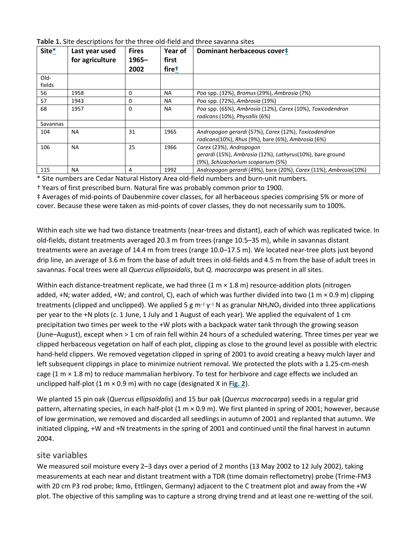| Table 1. Site descriptions for the three old-field and three savanna sites |  |
|----------------------------------------------------------------------------|--|
|----------------------------------------------------------------------------|--|

| Site*    | Last year used<br>for agriculture | <b>Fires</b><br>$1965 -$<br>2002 | Year of<br>first<br>firet | Dominant herbaceous cover#                                                                   |
|----------|-----------------------------------|----------------------------------|---------------------------|----------------------------------------------------------------------------------------------|
| Old-     |                                   |                                  |                           |                                                                                              |
| fields   |                                   |                                  |                           |                                                                                              |
| 56       | 1958                              | 0                                | <b>NA</b>                 | Poa spp. (32%), Bromus (29%), Ambrosia (7%)                                                  |
| 57       | 1943                              | 0                                | <b>NA</b>                 | Poa spp. (72%), Ambrosia (19%)                                                               |
| 68       | 1957                              | 0                                | <b>NA</b>                 | Poa spp. (65%), Ambrosia (12%), Carex (10%), Toxicodendron<br>radicans (10%), Physallis (6%) |
| Savannas |                                   |                                  |                           |                                                                                              |
| 104      | <b>NA</b>                         | 31                               | 1965                      | Andropogon gerardi (57%), Carex (12%), Toxicodendron                                         |
|          |                                   |                                  |                           | radicans(10%), Rhus (9%), bare (6%), Ambrosia (6%)                                           |
| 106      | <b>NA</b>                         | 25                               | 1966                      | Carex (23%), Andropogon                                                                      |
|          |                                   |                                  |                           | gerardi (15%), Ambrosia (12%), Lathyrus(10%), bare ground                                    |
|          |                                   |                                  |                           | (9%), Schizacharium scoparium (5%)                                                           |
| 115      | <b>NA</b>                         | 4                                | 1992                      | Andropogon gerardi (49%), bare (20%), Carex (11%), Ambrosia(10%)                             |

\* Site numbers are Cedar Natural History Area old-field numbers and burn-unit numbers.

† Years of first prescribed burn. Natural fire was probably common prior to 1900.

‡ Averages of mid-points of Daubenmire cover classes, for all herbaceous species comprising 5% or more of cover. Because these were taken as mid-points of cover classes, they do not necessarily sum to 100%.

Within each site we had two distance treatments (near-trees and distant), each of which was replicated twice. In old-fields, distant treatments averaged 20.3 m from trees (range 10.5–35 m), while in savannas distant treatments were an average of 14.4 m from trees (range 10.0–17.5 m). We located near-tree plots just beyond drip line, an average of 3.6 m from the base of adult trees in old-fields and 4.5 m from the base of adult trees in savannas. Focal trees were all *Quercus ellipsoidalis*, but *Q. macrocarpa* was present in all sites.

Within each distance-treatment replicate, we had three  $(1 \text{ m} \times 1.8 \text{ m})$  resource-addition plots (nitrogen added, +N; water added, +W; and control, C), each of which was further divided into two (1 m  $\times$  0.9 m) clipping treatments (clipped and unclipped). We applied 5 g m<sup>-2</sup> y<sup>-1</sup> N as granular NH<sub>4</sub>NO<sub>3</sub> divided into three applications per year to the +N plots (*c*. 1 June, 1 July and 1 August of each year). We applied the equivalent of 1 cm precipitation two times per week to the +W plots with a backpack water tank through the growing season (June–August), except when > 1 cm of rain fell within 24 hours of a scheduled watering. Three times per year we clipped herbaceous vegetation on half of each plot, clipping as close to the ground level as possible with electric hand-held clippers. We removed vegetation clipped in spring of 2001 to avoid creating a heavy mulch layer and left subsequent clippings in place to minimize nutrient removal. We protected the plots with a 1.25-cm-mesh cage (1  $m \times 1.8$  m) to reduce mammalian herbivory. To test for herbivore and cage effects we included an unclipped half-plot (1 m × 0.9 m) with no cage (designated X in **[Fig.](https://besjournals.onlinelibrary.wiley.com/doi/full/10.1111/j.1365-2745.2006.01202.x#f2) 2**).

We planted 15 pin oak (*Quercus ellipsoidalis*) and 15 bur oak (*Quercus macrocarpa*) seeds in a regular grid pattern, alternating species, in each half-plot (1 m × 0.9 m). We first planted in spring of 2001; however, because of low germination, we removed and discarded all seedlings in autumn of 2001 and replanted that autumn. We initiated clipping, +W and +N treatments in the spring of 2001 and continued until the final harvest in autumn 2004.

#### site variables

We measured soil moisture every 2–3 days over a period of 2 months (13 May 2002 to 12 July 2002), taking measurements at each near and distant treatment with a TDR (time domain reflectometry) probe (Trime-FM3 with 20 cm P3 rod probe; Ikmo, Ettlingen, Germany) adjacent to the C treatment plot and away from the +W plot. The objective of this sampling was to capture a strong drying trend and at least one re-wetting of the soil.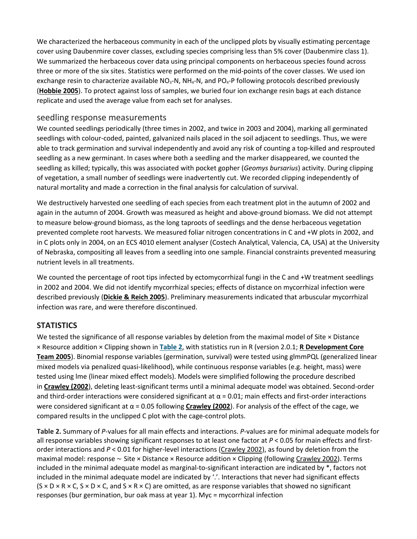We characterized the herbaceous community in each of the unclipped plots by visually estimating percentage cover using Daubenmire cover classes, excluding species comprising less than 5% cover (Daubenmire class 1). We summarized the herbaceous cover data using principal components on herbaceous species found across three or more of the six sites. Statistics were performed on the mid-points of the cover classes. We used ion exchange resin to characterize available  $NO<sub>3</sub>-N$ ,  $NH<sub>4</sub>-N$ , and  $PO<sub>4</sub>-P$  following protocols described previously (**[Hobbie 2005](https://besjournals.onlinelibrary.wiley.com/doi/full/10.1111/j.1365-2745.2006.01202.x#b33)**). To protect against loss of samples, we buried four ion exchange resin bags at each distance replicate and used the average value from each set for analyses.

#### seedling response measurements

We counted seedlings periodically (three times in 2002, and twice in 2003 and 2004), marking all germinated seedlings with colour-coded, painted, galvanized nails placed in the soil adjacent to seedlings. Thus, we were able to track germination and survival independently and avoid any risk of counting a top-killed and resprouted seedling as a new germinant. In cases where both a seedling and the marker disappeared, we counted the seedling as killed; typically, this was associated with pocket gopher (*Geomys bursarius*) activity. During clipping of vegetation, a small number of seedlings were inadvertently cut. We recorded clipping independently of natural mortality and made a correction in the final analysis for calculation of survival.

We destructively harvested one seedling of each species from each treatment plot in the autumn of 2002 and again in the autumn of 2004. Growth was measured as height and above-ground biomass. We did not attempt to measure below-ground biomass, as the long taproots of seedlings and the dense herbaceous vegetation prevented complete root harvests. We measured foliar nitrogen concentrations in C and +W plots in 2002, and in C plots only in 2004, on an ECS 4010 element analyser (Costech Analytical, Valencia, CA, USA) at the University of Nebraska, compositing all leaves from a seedling into one sample. Financial constraints prevented measuring nutrient levels in all treatments.

We counted the percentage of root tips infected by ectomycorrhizal fungi in the C and +W treatment seedlings in 2002 and 2004. We did not identify mycorrhizal species; effects of distance on mycorrhizal infection were described previously (**[Dickie & Reich 2005](https://besjournals.onlinelibrary.wiley.com/doi/full/10.1111/j.1365-2745.2006.01202.x#b34)**). Preliminary measurements indicated that arbuscular mycorrhizal infection was rare, and were therefore discontinued.

#### **STATISTICS**

We tested the significance of all response variables by deletion from the maximal model of Site × Distance × Resource addition × Clipping shown in **[Table](https://besjournals.onlinelibrary.wiley.com/doi/full/10.1111/j.1365-2745.2006.01202.x#t2) 2**, with statistics run in R (version 2.0.1; **[R Development Core](https://besjournals.onlinelibrary.wiley.com/doi/full/10.1111/j.1365-2745.2006.01202.x#b35)  [Team 2005](https://besjournals.onlinelibrary.wiley.com/doi/full/10.1111/j.1365-2745.2006.01202.x#b35)**). Binomial response variables (germination, survival) were tested using glmmPQL (generalized linear mixed models via penalized quasi-likelihood), while continuous response variables (e.g. height, mass) were tested using lme (linear mixed effect models). Models were simplified following the procedure described in **[Crawley \(2002](https://besjournals.onlinelibrary.wiley.com/doi/full/10.1111/j.1365-2745.2006.01202.x#b36)**), deleting least-significant terms until a minimal adequate model was obtained. Second-order and third-order interactions were considered significant at  $\alpha$  = 0.01; main effects and first-order interactions were considered significant at α = 0.05 following **[Crawley \(2002](https://besjournals.onlinelibrary.wiley.com/doi/full/10.1111/j.1365-2745.2006.01202.x#b36)**). For analysis of the effect of the cage, we compared results in the unclipped C plot with the cage-control plots.

**Table 2.** Summary of *P*-values for all main effects and interactions. *P*-values are for minimal adequate models for all response variables showing significant responses to at least one factor at *P* < 0.05 for main effects and firstorder interactions and *P* < 0.01 for higher-level interactions [\(Crawley 2002\)](https://besjournals.onlinelibrary.wiley.com/doi/full/10.1111/j.1365-2745.2006.01202.x#b36), as found by deletion from the maximal model: response ∼ Site × Distance × Resource addition × Clipping (following [Crawley 2002\)](https://besjournals.onlinelibrary.wiley.com/doi/full/10.1111/j.1365-2745.2006.01202.x#b36). Terms included in the minimal adequate model as marginal-to-significant interaction are indicated by \*, factors not included in the minimal adequate model are indicated by '.'. Interactions that never had significant effects  $(S \times D \times R \times C, S \times D \times C,$  and  $S \times R \times C$ ) are omitted, as are response variables that showed no significant responses (bur germination, bur oak mass at year 1). Myc = mycorrhizal infection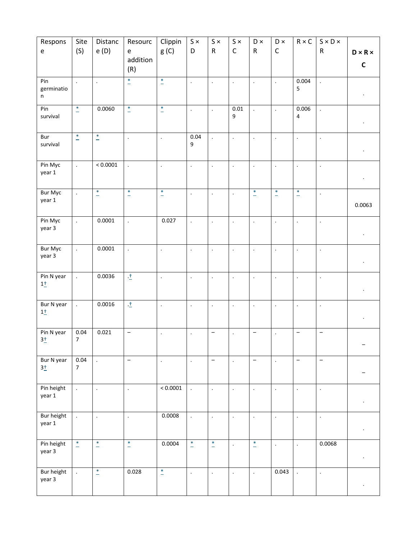| Respons<br>$\mathsf{e}% _{t}\left( t\right)$ | Site<br>(S)                | Distanc<br>e (D)     | Resourc<br>e             | Clippin<br>g(C)          | $S \times$<br>D      | $S \times$<br>${\sf R}$  | $S \times$<br>$\mathsf C$ | ${\sf D}$ $\times$<br>${\sf R}$ | $\mathsf{D}\times$<br>$\mathsf C$ | $\mathsf{R}\times\mathsf{C}$ | $S \times D \times$<br>${\sf R}$ | $D \times R \times$  |
|----------------------------------------------|----------------------------|----------------------|--------------------------|--------------------------|----------------------|--------------------------|---------------------------|---------------------------------|-----------------------------------|------------------------------|----------------------------------|----------------------|
|                                              |                            |                      | addition<br>(R)          |                          |                      |                          |                           |                                 |                                   |                              |                                  | $\mathsf C$          |
| Pin<br>germinatio<br>n                       |                            | $\cdot$              | $^\ast$                  | $\ddot{\hspace{1ex}}$    | $\cdot$              | $\ddot{\phantom{1}}$     | $\blacksquare$            | $\ddot{\phantom{1}}$            | $\bullet$                         | 0.004<br>5                   | $\ddot{\phantom{0}}$             |                      |
| Pin<br>survival                              | $\ddot{\hspace{1ex}\cdot}$ | 0.0060               | $\mathsf{I}^*$           | $\ddot{\phantom{1}}$     | $\cdot$              | $\ddot{\phantom{a}}$     | $0.01\,$<br>9             | ä,                              | $\ddot{\phantom{a}}$              | 0.006<br>$\pmb{4}$           | $\ddot{\phantom{a}}$             | $\ddot{\phantom{0}}$ |
| Bur<br>survival                              | $\overline{\phantom{a}}$   | $\frac{1}{2}$        | $\ddot{\phantom{a}}$     | $\overline{\phantom{a}}$ | 0.04<br>9            | $\ddot{\phantom{a}}$     | $\ddot{\phantom{0}}$      | ÷.                              | $\blacksquare$                    | $\Box$                       | $\ddot{\phantom{a}}$             | $\bullet$            |
| Pin Myc<br>year 1                            | $\ddot{\phantom{a}}$       | < 0.0001             | $\Box$                   | $\ddot{\phantom{a}}$     | $\ddot{\phantom{a}}$ | $\ddot{\phantom{a}}$     | $\ddot{\phantom{1}}$      | $\ddot{\phantom{1}}$            | $\cdot$                           | $\ddot{\phantom{a}}$         | $\Box$                           |                      |
| Bur Myc<br>year 1                            | $\cdot$                    | $\overline{a}$       | $\mathsf{I}^*$           | $\ddot{\bullet}$         | $\blacksquare$       | $\ddot{\phantom{a}}$     | $\Box$                    | $\overline{a}$                  | $\ddot{ }$                        | $\overline{a}$               | $\Box$                           | 0.0063               |
| Pin Myc<br>year 3                            | $\ddot{\phantom{a}}$       | 0.0001               | $\ddot{\phantom{0}}$     | 0.027                    | $\cdot$              | $\ddot{\phantom{1}}$     | $\ddot{\phantom{a}}$      | $\Box$                          | $\ddot{\phantom{a}}$              | $\ddot{\phantom{a}}$         | $\ddot{\phantom{a}}$             | $\bullet$            |
| Bur Myc<br>year 3                            | $\cdot$                    | 0.0001               | $\ddot{\phantom{a}}$     | $\blacksquare$           | $\bullet$            | $\bullet$                | $\ddot{\phantom{1}}$      | $\cdot$                         | $\cdot$                           | $\ddot{\phantom{1}}$         | $\ddot{\phantom{0}}$             | $\cdot$              |
| Pin N year<br>$1\pm$                         | $\ddot{\phantom{a}}$       | 0.0036               | 土                        | $\ddot{\phantom{a}}$     | $\cdot$              | $\cdot$                  | $\ddot{\phantom{1}}$      | $\cdot$                         | $\cdot$                           | $\bullet$                    | $\cdot$                          |                      |
| Bur N year<br>$1\pm$                         | $\ddot{\phantom{a}}$       | 0.0016               | 土                        | $\blacksquare$           | $\bullet$            | $\ddot{\phantom{a}}$     | $\ddot{\phantom{1}}$      | $\Box$                          | $\cdot$                           | $\ddot{\phantom{a}}$         | $\ddot{\phantom{a}}$             | $\ddot{\phantom{0}}$ |
| Pin N year<br>$3+$                           | 0.04<br>7 <sup>7</sup>     | 0.021                | $\overline{\phantom{0}}$ | $\blacksquare$           | $\cdot$              | $\overline{\phantom{a}}$ | $\ddot{\phantom{1}}$      | $\qquad \qquad -$               | $\blacksquare$                    | $\qquad \qquad -$            | $\overline{\phantom{a}}$         |                      |
| Bur N year<br>$3+$                           | 0.04<br>$\overline{7}$     | $\ddot{\phantom{0}}$ | $\overline{\phantom{m}}$ | $\cdot$                  | $\ddot{\phantom{a}}$ | $\overline{\phantom{a}}$ | $\ddot{\phantom{a}}$      | $\qquad \qquad -$               | $\ddot{\phantom{a}}$              | $\overline{\phantom{a}}$     | $\overline{\phantom{a}}$         |                      |
| Pin height<br>year 1                         | $\mathbb{Z}^2$             | $\Box$               | $\ddot{\phantom{a}}$     | < 0.0001                 | $\ddot{\phantom{a}}$ | $\ddot{\phantom{1}}$     | $\ddot{\phantom{0}}$      | $\ddot{\phantom{a}}$            | $\cdot$                           | $\hat{\mathbf{r}}$           | $\Box$                           | $\cdot$              |
| Bur height<br>year 1                         | $\ddot{\phantom{a}}$       | $\ddot{\phantom{a}}$ | $\Box$                   | 0.0008                   | $\cdot$              | $\Box$                   | $\blacksquare$            | $\ddot{\phantom{1}}$            | $\cdot$                           | $\ddot{\phantom{a}}$         | $\cdot$                          | $\bullet$            |
| Pin height<br>year 3                         | $\overset{*}{\_}$          | $\overset{*}{-}$     | $\mathsf{I}^*$           | 0.0004                   | $\ddot{\bullet}$     | $\ddot{ }$               | $\ddot{\phantom{1}}$      | $\overline{a}$                  | $\cdot$                           | $\ddot{\phantom{1}}$         | 0.0068                           | $\bullet$            |
| Bur height<br>year 3                         | $\ddot{\phantom{a}}$       | $\overset{*}{-}$     | 0.028                    | $\overline{\phantom{a}}$ | $\bullet$            | $\ddot{\phantom{a}}$     | $\Box$                    | ÷.                              | 0.043                             | $\ddot{\phantom{a}}$         | $\ddot{\phantom{a}}$             | $\bullet$            |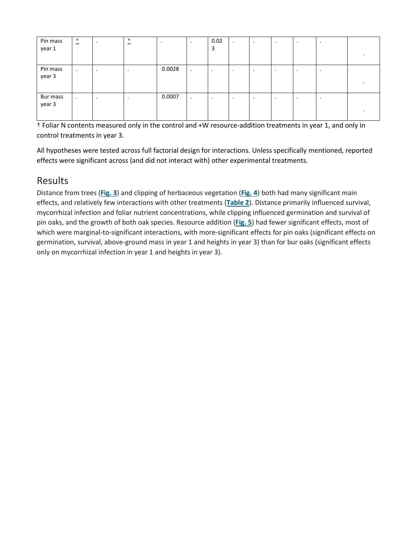| Pin mass<br>year 1 | $\ast$<br>$\overline{\phantom{m}}$ | $\bullet$ | $\ast$<br>$\overline{\phantom{0}}$ |        | $\cdot$   | 0.02<br>3 | $\cdot$ | $\bullet$ | $\bullet$ | $\cdot$ | $\bullet$ |  |
|--------------------|------------------------------------|-----------|------------------------------------|--------|-----------|-----------|---------|-----------|-----------|---------|-----------|--|
|                    |                                    |           |                                    |        |           |           |         |           |           |         |           |  |
| Pin mass<br>year 3 | $\bullet$                          | $\cdot$   | $\bullet$                          | 0.0028 | $\bullet$ | ٠.        | $\cdot$ | $\cdot$   | $\cdot$   | $\cdot$ | $\bullet$ |  |
|                    |                                    |           |                                    |        |           |           |         |           |           |         |           |  |
|                    |                                    |           |                                    |        |           |           |         |           |           |         |           |  |
| Bur mass           | $\bullet$                          | $\cdot$   | $\bullet$                          | 0.0007 | $\cdot$   |           | $\cdot$ | $\cdot$   | $\cdot$   | $\cdot$ | $\bullet$ |  |
| year 3             |                                    |           |                                    |        |           |           |         |           |           |         |           |  |
|                    |                                    |           |                                    |        |           |           |         |           |           |         |           |  |

† Foliar N contents measured only in the control and +W resource-addition treatments in year 1, and only in control treatments in year 3.

All hypotheses were tested across full factorial design for interactions. Unless specifically mentioned, reported effects were significant across (and did not interact with) other experimental treatments.

## Results

Distance from trees (**[Fig.](https://besjournals.onlinelibrary.wiley.com/doi/full/10.1111/j.1365-2745.2006.01202.x#f3) 3**) and clipping of herbaceous vegetation (**[Fig.](https://besjournals.onlinelibrary.wiley.com/doi/full/10.1111/j.1365-2745.2006.01202.x#f4) 4**) both had many significant main effects, and relatively few interactions with other treatments (**[Table](https://besjournals.onlinelibrary.wiley.com/doi/full/10.1111/j.1365-2745.2006.01202.x#t2) 2**). Distance primarily influenced survival, mycorrhizal infection and foliar nutrient concentrations, while clipping influenced germination and survival of pin oaks, and the growth of both oak species. Resource addition (**[Fig.](https://besjournals.onlinelibrary.wiley.com/doi/full/10.1111/j.1365-2745.2006.01202.x#f5) 5**) had fewer significant effects, most of which were marginal-to-significant interactions, with more-significant effects for pin oaks (significant effects on germination, survival, above-ground mass in year 1 and heights in year 3) than for bur oaks (significant effects only on mycorrhizal infection in year 1 and heights in year 3).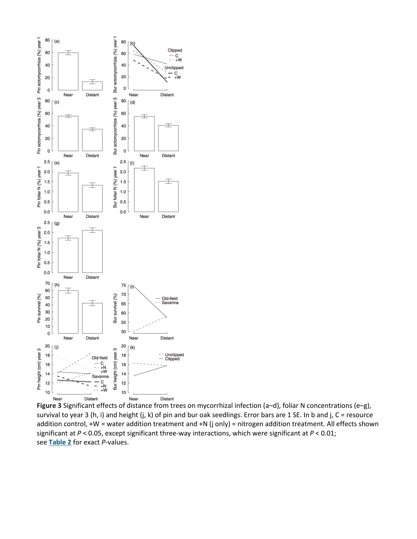

**Figure 3** Significant effects of distance from trees on mycorrhizal infection (a–d), foliar N concentrations (e–g), survival to year 3 (h, i) and height (j, k) of pin and bur oak seedlings. Error bars are 1 SE. In b and j, C = resource addition control, +W = water addition treatment and +N (j only) = nitrogen addition treatment. All effects shown significant at *P* < 0.05, except significant three-way interactions, which were significant at *P* < 0.01; see **[Table](https://besjournals.onlinelibrary.wiley.com/doi/full/10.1111/j.1365-2745.2006.01202.x#t2) 2** for exact *P*-values.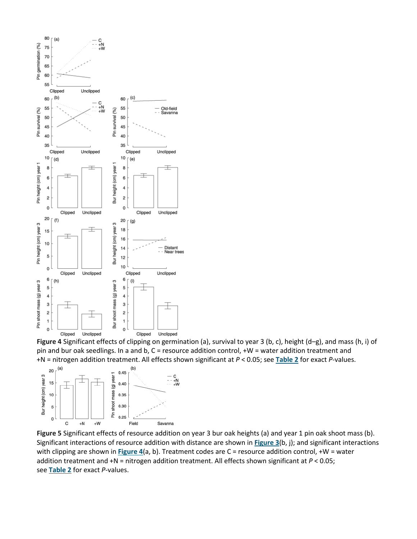

**Figure 4** Significant effects of clipping on germination (a), survival to year 3 (b, c), height (d–g), and mass (h, i) of pin and bur oak seedlings. In a and b, C = resource addition control, +W = water addition treatment and +N = nitrogen addition treatment. All effects shown significant at *P* < 0.05; see **[Table](https://besjournals.onlinelibrary.wiley.com/doi/full/10.1111/j.1365-2745.2006.01202.x#t2) 2** for exact *P*-values.



**Figure 5** Significant effects of resource addition on year 3 bur oak heights (a) and year 1 pin oak shoot mass (b). Significant interactions of resource addition with distance are shown in **[Figure](https://besjournals.onlinelibrary.wiley.com/doi/full/10.1111/j.1365-2745.2006.01202.x#f3) 3**(b, j); and significant interactions with clipping are shown in **[Figure](https://besjournals.onlinelibrary.wiley.com/doi/full/10.1111/j.1365-2745.2006.01202.x#f4) 4**(a, b). Treatment codes are C = resource addition control, +W = water addition treatment and +N = nitrogen addition treatment. All effects shown significant at *P* < 0.05; see **[Table](https://besjournals.onlinelibrary.wiley.com/doi/full/10.1111/j.1365-2745.2006.01202.x#t2) 2** for exact *P*-values.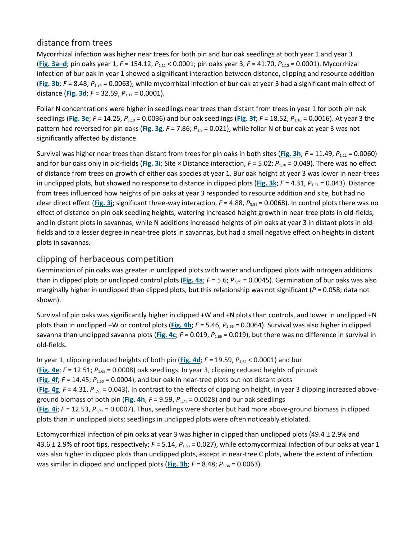#### distance from trees

Mycorrhizal infection was higher near trees for both pin and bur oak seedlings at both year 1 and year 3 (**Fig. [3a–d](https://besjournals.onlinelibrary.wiley.com/doi/full/10.1111/j.1365-2745.2006.01202.x#f3)**; pin oaks year 1, *F* = 154.12, *P*1,11 < 0.0001; pin oaks year 3, *F* = 41.70, *P*1,10 = 0.0001). Mycorrhizal infection of bur oak in year 1 showed a significant interaction between distance, clipping and resource addition (**[Fig.](https://besjournals.onlinelibrary.wiley.com/doi/full/10.1111/j.1365-2745.2006.01202.x#f3) 3b**; *F* = 8.48; *P*1,34 = 0.0063), while mycorrhizal infection of bur oak at year 3 had a significant main effect of distance (**[Fig.](https://besjournals.onlinelibrary.wiley.com/doi/full/10.1111/j.1365-2745.2006.01202.x#f3) 3d**; *F* = 32.59, *P*1,11 = 0.0001).

Foliar N concentrations were higher in seedlings near trees than distant from trees in year 1 for both pin oak seedlings (**[Fig.](https://besjournals.onlinelibrary.wiley.com/doi/full/10.1111/j.1365-2745.2006.01202.x#f3) 3e**; *F* = 14.25, *P*1,10 = 0.0036) and bur oak seedlings (**[Fig.](https://besjournals.onlinelibrary.wiley.com/doi/full/10.1111/j.1365-2745.2006.01202.x#f3) 3f**; *F* = 18.52, *P*1,10 = 0.0016). At year 3 the pattern had reversed for pin oaks (**[Fig.](https://besjournals.onlinelibrary.wiley.com/doi/full/10.1111/j.1365-2745.2006.01202.x#f3) 3g**, *F* = 7.86; *P*1,9 = 0.021), while foliar N of bur oak at year 3 was not significantly affected by distance.

Survival was higher near trees than distant from trees for pin oaks in both sites (**[Fig.](https://besjournals.onlinelibrary.wiley.com/doi/full/10.1111/j.1365-2745.2006.01202.x#f3) 3h**; *F* = 11.49, *P*1,11 = 0.0060) and for bur oaks only in old-fields (**[Fig.](https://besjournals.onlinelibrary.wiley.com/doi/full/10.1111/j.1365-2745.2006.01202.x#f3) 3i**; Site × Distance interaction, *F* = 5.02; *P*1,10 = 0.049). There was no effect of distance from trees on growth of either oak species at year 1. Bur oak height at year 3 was lower in near-trees in unclipped plots, but showed no response to distance in clipped plots ([Fig.](https://besjournals.onlinelibrary.wiley.com/doi/full/10.1111/j.1365-2745.2006.01202.x#f3) 3k;  $F = 4.31$ ,  $P_{1,51} = 0.043$ ). Distance from trees influenced how heights of pin oaks at year 3 responded to resource addition and site, but had no clear direct effect ([Fig.](https://besjournals.onlinelibrary.wiley.com/doi/full/10.1111/j.1365-2745.2006.01202.x#f3) 3j; significant three-way interaction,  $F = 4.88$ ,  $P_{3,31} = 0.0068$ ). In control plots there was no effect of distance on pin oak seedling heights; watering increased height growth in near-tree plots in old-fields, and in distant plots in savannas; while N additions increased heights of pin oaks at year 3 in distant plots in oldfields and to a lesser degree in near-tree plots in savannas, but had a small negative effect on heights in distant plots in savannas.

#### clipping of herbaceous competition

Germination of pin oaks was greater in unclipped plots with water and unclipped plots with nitrogen additions than in clipped plots or unclipped control plots (**[Fig.](https://besjournals.onlinelibrary.wiley.com/doi/full/10.1111/j.1365-2745.2006.01202.x#f4) 4a**; *F* = 5.6; *P*2,69 = 0.0045). Germination of bur oaks was also marginally higher in unclipped than clipped plots, but this relationship was not significant (*P =* 0.058; data not shown).

Survival of pin oaks was significantly higher in clipped +W and +N plots than controls, and lower in unclipped +N plots than in unclipped +W or control plots (**[Fig.](https://besjournals.onlinelibrary.wiley.com/doi/full/10.1111/j.1365-2745.2006.01202.x#f4) 4b**; *F* = 5.46, *P*2,66 = 0.0064). Survival was also higher in clipped savanna than unclipped savanna plots (**[Fig.](https://besjournals.onlinelibrary.wiley.com/doi/full/10.1111/j.1365-2745.2006.01202.x#f4) 4c**; *F* = 0.019, *P*1,66 = 0.019), but there was no difference in survival in old-fields.

In year 1, clipping reduced heights of both pin ([Fig.](https://besjournals.onlinelibrary.wiley.com/doi/full/10.1111/j.1365-2745.2006.01202.x#f4) 4d;  $F = 19.59$ ,  $P_{1.64} < 0.0001$ ) and bur (**[Fig.](https://besjournals.onlinelibrary.wiley.com/doi/full/10.1111/j.1365-2745.2006.01202.x#f4) 4e**; *F* = 12.51; *P*1,65 = 0.0008) oak seedlings. In year 3, clipping reduced heights of pin oak ([Fig.](https://besjournals.onlinelibrary.wiley.com/doi/full/10.1111/j.1365-2745.2006.01202.x#f4) 4f;  $F = 14.45$ ;  $P_{1,50} = 0.0004$ ), and bur oak in near-tree plots but not distant plots (**[Fig.](https://besjournals.onlinelibrary.wiley.com/doi/full/10.1111/j.1365-2745.2006.01202.x#f4) 4g**; *F* = 4.31, *P*1,51 = 0.043). In contrast to the effects of clipping on height, in year 3 clipping increased above-ground biomass of both pin ([Fig.](https://besjournals.onlinelibrary.wiley.com/doi/full/10.1111/j.1365-2745.2006.01202.x#f4) 4h;  $F = 9.59$ ,  $P_{1,71} = 0.0028$ ) and bur oak seedlings (**[Fig.](https://besjournals.onlinelibrary.wiley.com/doi/full/10.1111/j.1365-2745.2006.01202.x#f4) 4i**; *F* = 12.53, *P*1,71 = 0.0007). Thus, seedlings were shorter but had more above-ground biomass in clipped plots than in unclipped plots; seedlings in unclipped plots were often noticeably etiolated.

Ectomycorrhizal infection of pin oaks at year 3 was higher in clipped than unclipped plots (49.4 ± 2.9% and 43.6 ± 2.9% of root tips, respectively; *F* = 5.14, *P*1,53 = 0.027), while ectomycorrhizal infection of bur oaks at year 1 was also higher in clipped plots than unclipped plots, except in near-tree C plots, where the extent of infection was similar in clipped and unclipped plots ([Fig.](https://besjournals.onlinelibrary.wiley.com/doi/full/10.1111/j.1365-2745.2006.01202.x#f3) 3b;  $F = 8.48$ ;  $P_{1,34} = 0.0063$ ).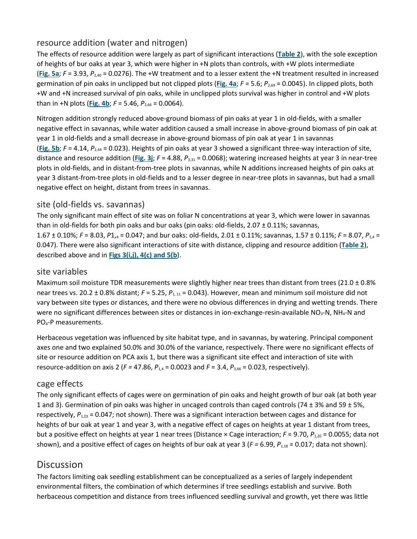#### resource addition (water and nitrogen)

The effects of resource addition were largely as part of significant interactions (**[Table](https://besjournals.onlinelibrary.wiley.com/doi/full/10.1111/j.1365-2745.2006.01202.x#t2) 2**), with the sole exception of heights of bur oaks at year 3, which were higher in +N plots than controls, with +W plots intermediate ([Fig.](https://besjournals.onlinelibrary.wiley.com/doi/full/10.1111/j.1365-2745.2006.01202.x#f5) 5a;  $F = 3.93$ ,  $P_{2,40} = 0.0276$ ). The +W treatment and to a lesser extent the +N treatment resulted in increased germination of pin oaks in unclipped but not clipped plots (**[Fig.](https://besjournals.onlinelibrary.wiley.com/doi/full/10.1111/j.1365-2745.2006.01202.x#f4) 4a**; *F* = 5.6; *P*2,69 = 0.0045). In clipped plots, both +W and +N increased survival of pin oaks, while in unclipped plots survival was higher in control and +W plots than in +N plots ([Fig.](https://besjournals.onlinelibrary.wiley.com/doi/full/10.1111/j.1365-2745.2006.01202.x#f4) 4b;  $F = 5.46$ ,  $P_{2,66} = 0.0064$ ).

Nitrogen addition strongly reduced above-ground biomass of pin oaks at year 1 in old-fields, with a smaller negative effect in savannas, while water addition caused a small increase in above-ground biomass of pin oak at year 1 in old-fields and a small decrease in above-ground biomass of pin oak at year 1 in savannas (**[Fig.](https://besjournals.onlinelibrary.wiley.com/doi/full/10.1111/j.1365-2745.2006.01202.x#f5) 5b**; *F* = 4.14, *P*2,44 = 0.023). Heights of pin oaks at year 3 showed a significant three-way interaction of site, distance and resource addition (**[Fig.](https://besjournals.onlinelibrary.wiley.com/doi/full/10.1111/j.1365-2745.2006.01202.x#f3) 3j**; *F* = 4.88, *P*3,31 = 0.0068); watering increased heights at year 3 in near-tree plots in old-fields, and in distant-from-tree plots in savannas, while N additions increased heights of pin oaks at year 3 distant-from-tree plots in old-fields and to a lesser degree in near-tree plots in savannas, but had a small negative effect on height, distant from trees in savannas.

#### site (old-fields vs. savannas)

The only significant main effect of site was on foliar N concentrations at year 3, which were lower in savannas than in old-fields for both pin oaks and bur oaks (pin oaks: old-fields, 2.07  $\pm$  0.11%; savannas, 1.67 ± 0.10%; *F* = 8.03, *P*1,4 = 0.047; and bur oaks: old-fields, 2.01 ± 0.11%; savannas, 1.57 ± 0.11%; *F* = 8.07, *P*1,4 = 0.047). There were also significant interactions of site with distance, clipping and resource addition (**[Table](https://besjournals.onlinelibrary.wiley.com/doi/full/10.1111/j.1365-2745.2006.01202.x#t2) 2**), described above and in **Figs 3(i,j), [4\(c\) and 5\(b](https://besjournals.onlinelibrary.wiley.com/doi/full/10.1111/j.1365-2745.2006.01202.x#f3%20#f4%20#f5)**).

#### site variables

Maximum soil moisture TDR measurements were slightly higher near trees than distant from trees (21.0  $\pm$  0.8% near trees vs. 20.2 ± 0.8% distant; *F* = 5.25,  $P_{1,11}$  = 0.043). However, mean and minimum soil moisture did not vary between site types or distances, and there were no obvious differences in drying and wetting trends. There were no significant differences between sites or distances in ion-exchange-resin-available NO<sub>3</sub>-N, NH<sub>4</sub>-N and PO4-P measurements.

Herbaceous vegetation was influenced by site habitat type, and in savannas, by watering. Principal component axes one and two explained 50.0% and 30.0% of the variance, respectively. There were no significant effects of site or resource addition on PCA axis 1, but there was a significant site effect and interaction of site with resource-addition on axis 2 (*F =* 47.86, *P*1,4 = 0.0023 and *F* = 3.4, *P*3,66 = 0.023, respectively).

#### cage effects

The only significant effects of cages were on germination of pin oaks and height growth of bur oak (at both year 1 and 3). Germination of pin oaks was higher in uncaged controls than caged controls (74  $\pm$  3% and 59  $\pm$  5%, respectively,  $P_{1,23}$  = 0.047; not shown). There was a significant interaction between cages and distance for heights of bur oak at year 1 and year 3, with a negative effect of cages on heights at year 1 distant from trees, but a positive effect on heights at year 1 near trees (Distance × Cage interaction; *F* = 9.70, *P*1,20 = 0.0055; data not shown), and a positive effect of cages on heights of bur oak at year 3 (*F =* 6.99, *P*1,18 = 0.017; data not shown).

## **Discussion**

The factors limiting oak seedling establishment can be conceptualized as a series of largely independent environmental filters, the combination of which determines if tree seedlings establish and survive. Both herbaceous competition and distance from trees influenced seedling survival and growth, yet there was little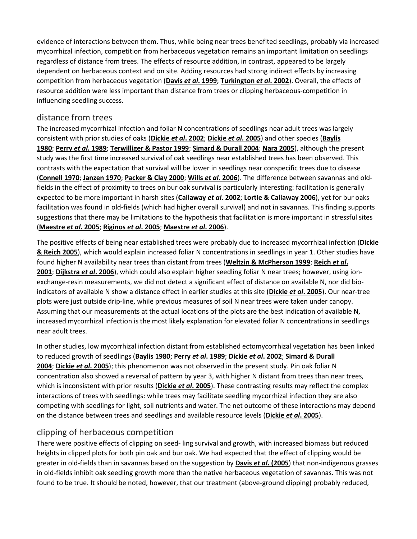evidence of interactions between them. Thus, while being near trees benefited seedlings, probably via increased mycorrhizal infection, competition from herbaceous vegetation remains an important limitation on seedlings regardless of distance from trees. The effects of resource addition, in contrast, appeared to be largely dependent on herbaceous context and on site. Adding resources had strong indirect effects by increasing competition from herbaceous vegetation (**Davis** *et al***[. 1999](https://besjournals.onlinelibrary.wiley.com/doi/full/10.1111/j.1365-2745.2006.01202.x#b12)**; **[Turkington](https://besjournals.onlinelibrary.wiley.com/doi/full/10.1111/j.1365-2745.2006.01202.x#b37)** *et al***. 2002**). Overall, the effects of resource addition were less important than distance from trees or clipping herbaceous-competition in influencing seedling success.

#### distance from trees

The increased mycorrhizal infection and foliar N concentrations of seedlings near adult trees was largely consistent with prior studies of oaks (**[Dickie](https://besjournals.onlinelibrary.wiley.com/doi/full/10.1111/j.1365-2745.2006.01202.x#b38)** *et al***. 2002**; **Dickie** *et al***[. 2005](https://besjournals.onlinelibrary.wiley.com/doi/full/10.1111/j.1365-2745.2006.01202.x#b11)**) and other species (**[Baylis](https://besjournals.onlinelibrary.wiley.com/doi/full/10.1111/j.1365-2745.2006.01202.x#b16)  [1980](https://besjournals.onlinelibrary.wiley.com/doi/full/10.1111/j.1365-2745.2006.01202.x#b16)**; **Perry** *et al***[. 1989](https://besjournals.onlinelibrary.wiley.com/doi/full/10.1111/j.1365-2745.2006.01202.x#b17)**; **[Terwilliger & Pastor 1999](https://besjournals.onlinelibrary.wiley.com/doi/full/10.1111/j.1365-2745.2006.01202.x#b18)**; **[Simard & Durall 2004](https://besjournals.onlinelibrary.wiley.com/doi/full/10.1111/j.1365-2745.2006.01202.x#b30)**; **[Nara 2005](https://besjournals.onlinelibrary.wiley.com/doi/full/10.1111/j.1365-2745.2006.01202.x#b20)**), although the present study was the first time increased survival of oak seedlings near established trees has been observed. This contrasts with the expectation that survival will be lower in seedlings near conspecific trees due to disease (**[Connell 1970](https://besjournals.onlinelibrary.wiley.com/doi/full/10.1111/j.1365-2745.2006.01202.x#b39)**; **[Janzen 1970](https://besjournals.onlinelibrary.wiley.com/doi/full/10.1111/j.1365-2745.2006.01202.x#b40)**; **[Packer & Clay 2000](https://besjournals.onlinelibrary.wiley.com/doi/full/10.1111/j.1365-2745.2006.01202.x#b28)**; **Wills** *et al***[. 2006](https://besjournals.onlinelibrary.wiley.com/doi/full/10.1111/j.1365-2745.2006.01202.x#b41)**). The difference between savannas and oldfields in the effect of proximity to trees on bur oak survival is particularly interesting: facilitation is generally expected to be more important in harsh sites (**[Callaway](https://besjournals.onlinelibrary.wiley.com/doi/full/10.1111/j.1365-2745.2006.01202.x#b1)** *et al***. 2002**; **[Lortie & Callaway 2006](https://besjournals.onlinelibrary.wiley.com/doi/full/10.1111/j.1365-2745.2006.01202.x#b42)**), yet for bur oaks facilitation was found in old-fields (which had higher overall survival) and not in savannas. This finding supports suggestions that there may be limitations to the hypothesis that facilitation is more important in stressful sites (**[Maestre](https://besjournals.onlinelibrary.wiley.com/doi/full/10.1111/j.1365-2745.2006.01202.x#b2)** *et al***. 2005**; **[Riginos](https://besjournals.onlinelibrary.wiley.com/doi/full/10.1111/j.1365-2745.2006.01202.x#b43)** *et al***. 2005**; **[Maestre](https://besjournals.onlinelibrary.wiley.com/doi/full/10.1111/j.1365-2745.2006.01202.x#b44)** *et al***. 2006**).

The positive effects of being near established trees were probably due to increased mycorrhizal infection (**[Dickie](https://besjournals.onlinelibrary.wiley.com/doi/full/10.1111/j.1365-2745.2006.01202.x#b34)  [& Reich 2005](https://besjournals.onlinelibrary.wiley.com/doi/full/10.1111/j.1365-2745.2006.01202.x#b34)**), which would explain increased foliar N concentrations in seedlings in year 1. Other studies have found higher N availability near trees than distant from trees (**[Weltzin & McPherson 1999](https://besjournals.onlinelibrary.wiley.com/doi/full/10.1111/j.1365-2745.2006.01202.x#b10)**; **[Reich](https://besjournals.onlinelibrary.wiley.com/doi/full/10.1111/j.1365-2745.2006.01202.x#b26)** *et al***. [2001](https://besjournals.onlinelibrary.wiley.com/doi/full/10.1111/j.1365-2745.2006.01202.x#b26)**; **[Dijkstra](https://besjournals.onlinelibrary.wiley.com/doi/full/10.1111/j.1365-2745.2006.01202.x#b27)** *et al***. 2006**), which could also explain higher seedling foliar N near trees; however, using ionexchange-resin measurements, we did not detect a significant effect of distance on available N, nor did bioindicators of available N show a distance effect in earlier studies at this site (**Dickie** *et al***[. 2005](https://besjournals.onlinelibrary.wiley.com/doi/full/10.1111/j.1365-2745.2006.01202.x#b11)**). Our near-tree plots were just outside drip-line, while previous measures of soil N near trees were taken under canopy. Assuming that our measurements at the actual locations of the plots are the best indication of available N, increased mycorrhizal infection is the most likely explanation for elevated foliar N concentrations in seedlings near adult trees.

In other studies, low mycorrhizal infection distant from established ectomycorrhizal vegetation has been linked to reduced growth of seedlings (**[Baylis 1980](https://besjournals.onlinelibrary.wiley.com/doi/full/10.1111/j.1365-2745.2006.01202.x#b16)**; **Perry** *et al***[. 1989](https://besjournals.onlinelibrary.wiley.com/doi/full/10.1111/j.1365-2745.2006.01202.x#b17)**; **Dickie** *et al***[. 2002](https://besjournals.onlinelibrary.wiley.com/doi/full/10.1111/j.1365-2745.2006.01202.x#b38)**; **[Simard & Durall](https://besjournals.onlinelibrary.wiley.com/doi/full/10.1111/j.1365-2745.2006.01202.x#b30)  [2004](https://besjournals.onlinelibrary.wiley.com/doi/full/10.1111/j.1365-2745.2006.01202.x#b30)**; **Dickie** *et al***[. 2005](https://besjournals.onlinelibrary.wiley.com/doi/full/10.1111/j.1365-2745.2006.01202.x#b11)**); this phenomenon was not observed in the present study. Pin oak foliar N concentration also showed a reversal of pattern by year 3, with higher N distant from trees than near trees, which is inconsistent with prior results (**[Dickie](https://besjournals.onlinelibrary.wiley.com/doi/full/10.1111/j.1365-2745.2006.01202.x#b11)** *et al***. 2005**). These contrasting results may reflect the complex interactions of trees with seedlings: while trees may facilitate seedling mycorrhizal infection they are also competing with seedlings for light, soil nutrients and water. The net outcome of these interactions may depend on the distance between trees and seedlings and available resource levels (**[Dickie](https://besjournals.onlinelibrary.wiley.com/doi/full/10.1111/j.1365-2745.2006.01202.x#b11)** *et al***. 2005**).

#### clipping of herbaceous competition

There were positive effects of clipping on seed- ling survival and growth, with increased biomass but reduced heights in clipped plots for both pin oak and bur oak. We had expected that the effect of clipping would be greater in old-fields than in savannas based on the suggestion by **Davis** *et al***[. \(2005](https://besjournals.onlinelibrary.wiley.com/doi/full/10.1111/j.1365-2745.2006.01202.x#b8)**) that non-indigenous grasses in old-fields inhibit oak seedling growth more than the native herbaceous vegetation of savannas. This was not found to be true. It should be noted, however, that our treatment (above-ground clipping) probably reduced,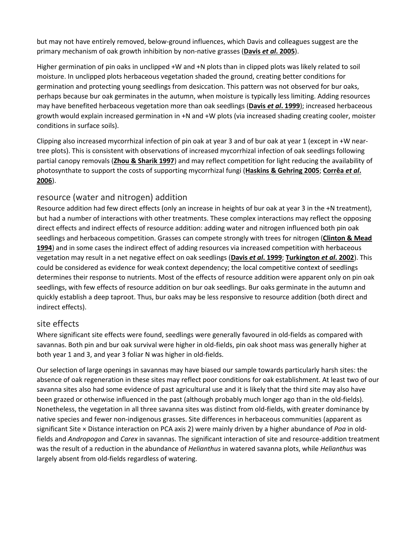but may not have entirely removed, below-ground influences, which Davis and colleagues suggest are the primary mechanism of oak growth inhibition by non-native grasses (**Davis** *et al***[. 2005](https://besjournals.onlinelibrary.wiley.com/doi/full/10.1111/j.1365-2745.2006.01202.x#b8)**).

Higher germination of pin oaks in unclipped +W and +N plots than in clipped plots was likely related to soil moisture. In unclipped plots herbaceous vegetation shaded the ground, creating better conditions for germination and protecting young seedlings from desiccation. This pattern was not observed for bur oaks, perhaps because bur oak germinates in the autumn, when moisture is typically less limiting. Adding resources may have benefited herbaceous vegetation more than oak seedlings (**Davis** *et al***[. 1999](https://besjournals.onlinelibrary.wiley.com/doi/full/10.1111/j.1365-2745.2006.01202.x#b12)**); increased herbaceous growth would explain increased germination in +N and +W plots (via increased shading creating cooler, moister conditions in surface soils).

Clipping also increased mycorrhizal infection of pin oak at year 3 and of bur oak at year 1 (except in +W neartree plots). This is consistent with observations of increased mycorrhizal infection of oak seedlings following partial canopy removals (**[Zhou & Sharik 1997](https://besjournals.onlinelibrary.wiley.com/doi/full/10.1111/j.1365-2745.2006.01202.x#b45)**) and may reflect competition for light reducing the availability of photosynthate to support the costs of supporting mycorrhizal fungi (**[Haskins & Gehring 2005](https://besjournals.onlinelibrary.wiley.com/doi/full/10.1111/j.1365-2745.2006.01202.x#b46)**; **[Corrêa](https://besjournals.onlinelibrary.wiley.com/doi/full/10.1111/j.1365-2745.2006.01202.x#b47)** *et al***. [2006](https://besjournals.onlinelibrary.wiley.com/doi/full/10.1111/j.1365-2745.2006.01202.x#b47)**).

#### resource (water and nitrogen) addition

Resource addition had few direct effects (only an increase in heights of bur oak at year 3 in the +N treatment), but had a number of interactions with other treatments. These complex interactions may reflect the opposing direct effects and indirect effects of resource addition: adding water and nitrogen influenced both pin oak seedlings and herbaceous competition. Grasses can compete strongly with trees for nitrogen (**[Clinton & Mead](https://besjournals.onlinelibrary.wiley.com/doi/full/10.1111/j.1365-2745.2006.01202.x#b48)  [1994](https://besjournals.onlinelibrary.wiley.com/doi/full/10.1111/j.1365-2745.2006.01202.x#b48)**) and in some cases the indirect effect of adding resources via increased competition with herbaceous vegetation may result in a net negative effect on oak seedlings (**Davis** *et al***[. 1999](https://besjournals.onlinelibrary.wiley.com/doi/full/10.1111/j.1365-2745.2006.01202.x#b12)**; **[Turkington](https://besjournals.onlinelibrary.wiley.com/doi/full/10.1111/j.1365-2745.2006.01202.x#b37)** *et al***. 2002**). This could be considered as evidence for weak context dependency; the local competitive context of seedlings determines their response to nutrients. Most of the effects of resource addition were apparent only on pin oak seedlings, with few effects of resource addition on bur oak seedlings. Bur oaks germinate in the autumn and quickly establish a deep taproot. Thus, bur oaks may be less responsive to resource addition (both direct and indirect effects).

#### site effects

Where significant site effects were found, seedlings were generally favoured in old-fields as compared with savannas. Both pin and bur oak survival were higher in old-fields, pin oak shoot mass was generally higher at both year 1 and 3, and year 3 foliar N was higher in old-fields.

Our selection of large openings in savannas may have biased our sample towards particularly harsh sites: the absence of oak regeneration in these sites may reflect poor conditions for oak establishment. At least two of our savanna sites also had some evidence of past agricultural use and it is likely that the third site may also have been grazed or otherwise influenced in the past (although probably much longer ago than in the old-fields). Nonetheless, the vegetation in all three savanna sites was distinct from old-fields, with greater dominance by native species and fewer non-indigenous grasses. Site differences in herbaceous communities (apparent as significant Site × Distance interaction on PCA axis 2) were mainly driven by a higher abundance of *Poa* in oldfields and *Andropogon* and *Carex* in savannas. The significant interaction of site and resource-addition treatment was the result of a reduction in the abundance of *Helianthus* in watered savanna plots, while *Helianthus* was largely absent from old-fields regardless of watering.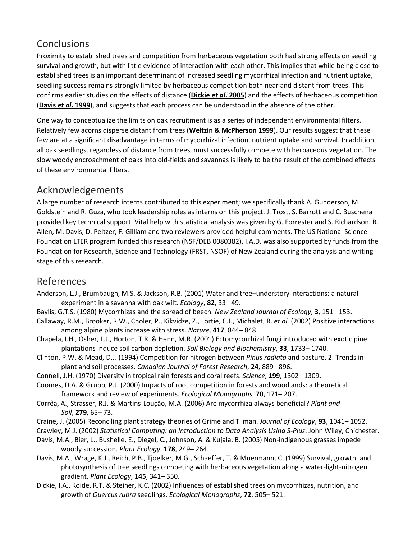# **Conclusions**

Proximity to established trees and competition from herbaceous vegetation both had strong effects on seedling survival and growth, but with little evidence of interaction with each other. This implies that while being close to established trees is an important determinant of increased seedling mycorrhizal infection and nutrient uptake, seedling success remains strongly limited by herbaceous competition both near and distant from trees. This confirms earlier studies on the effects of distance (**Dickie** *et al***[. 2005](https://besjournals.onlinelibrary.wiley.com/doi/full/10.1111/j.1365-2745.2006.01202.x#b11)**) and the effects of herbaceous competition (**Davis** *et al***[. 1999](https://besjournals.onlinelibrary.wiley.com/doi/full/10.1111/j.1365-2745.2006.01202.x#b12)**), and suggests that each process can be understood in the absence of the other.

One way to conceptualize the limits on oak recruitment is as a series of independent environmental filters. Relatively few acorns disperse distant from trees (**[Weltzin & McPherson 1999](https://besjournals.onlinelibrary.wiley.com/doi/full/10.1111/j.1365-2745.2006.01202.x#b10)**). Our results suggest that these few are at a significant disadvantage in terms of mycorrhizal infection, nutrient uptake and survival. In addition, all oak seedlings, regardless of distance from trees, must successfully compete with herbaceous vegetation. The slow woody encroachment of oaks into old-fields and savannas is likely to be the result of the combined effects of these environmental filters.

## Acknowledgements

A large number of research interns contributed to this experiment; we specifically thank A. Gunderson, M. Goldstein and R. Guza, who took leadership roles as interns on this project. J. Trost, S. Barrott and C. Buschena provided key technical support. Vital help with statistical analysis was given by G. Forrester and S. Richardson. R. Allen, M. Davis, D. Peltzer, F. Gilliam and two reviewers provided helpful comments. The US National Science Foundation LTER program funded this research (NSF/DEB 0080382). I.A.D. was also supported by funds from the Foundation for Research, Science and Technology (FRST, NSOF) of New Zealand during the analysis and writing stage of this research.

## References

- Anderson, L.J., Brumbaugh, M.S. & Jackson, R.B. (2001) Water and tree–understory interactions: a natural experiment in a savanna with oak wilt. *Ecology*, **82**, 33– 49.
- Baylis, G.T.S. (1980) Mycorrhizas and the spread of beech. *New Zealand Journal of Ecology*, **3**, 151– 153.
- Callaway, R.M., Brooker, R.W., Choler, P., Kikvidze, Z., Lortie, C.J., Michalet, R. *et al.* (2002) Positive interactions among alpine plants increase with stress. *Nature*, **417**, 844– 848.
- Chapela, I.H., Osher, L.J., Horton, T.R. & Henn, M.R. (2001) Ectomycorrhizal fungi introduced with exotic pine plantations induce soil carbon depletion. *Soil Biology and Biochemistry*, **33**, 1733– 1740.
- Clinton, P.W. & Mead, D.J. (1994) Competition for nitrogen between *Pinus radiata* and pasture. 2. Trends in plant and soil processes. *Canadian Journal of Forest Research*, **24**, 889– 896.
- Connell, J.H. (1970) Diversity in tropical rain forests and coral reefs. *Science*, **199**, 1302– 1309.
- Coomes, D.A. & Grubb, P.J. (2000) Impacts of root competition in forests and woodlands: a theoretical framework and review of experiments. *Ecological Monographs*, **70**, 171– 207.
- Corrêa, A., Strasser, R.J. & Martins-Loução, M.A. (2006) Are mycorrhiza always beneficial? *Plant and Soil*, **279**, 65– 73.
- Craine, J. (2005) Reconciling plant strategy theories of Grime and Tilman. *Journal of Ecology*, **93**, 1041– 1052.
- Crawley, M.J. (2002) *Statistical Computing: an Introduction to Data Analysis Using S‐Plus*. John Wiley, Chichester.
- Davis, M.A., Bier, L., Bushelle, E., Diegel, C., Johnson, A. & Kujala, B. (2005) Non-indigenous grasses impede woody succession. *Plant Ecology*, **178**, 249– 264.
- Davis, M.A., Wrage, K.J., Reich, P.B., Tjoelker, M.G., Schaeffer, T. & Muermann, C. (1999) Survival, growth, and photosynthesis of tree seedlings competing with herbaceous vegetation along a water-light-nitrogen gradient. *Plant Ecology*, **145**, 341– 350.
- Dickie, I.A., Koide, R.T. & Steiner, K.C. (2002) Influences of established trees on mycorrhizas, nutrition, and growth of *Quercus rubra* seedlings. *Ecological Monographs*, **72**, 505– 521.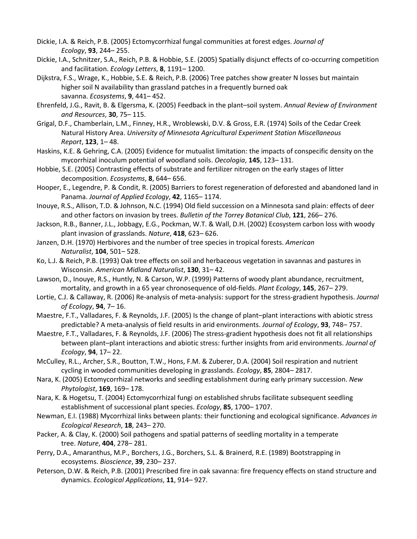- Dickie, I.A. & Reich, P.B. (2005) Ectomycorrhizal fungal communities at forest edges. *Journal of Ecology*, **93**, 244– 255.
- Dickie, I.A., Schnitzer, S.A., Reich, P.B. & Hobbie, S.E. (2005) Spatially disjunct effects of co-occurring competition and facilitation. *Ecology Letters*, **8**, 1191– 1200.
- Dijkstra, F.S., Wrage, K., Hobbie, S.E. & Reich, P.B. (2006) Tree patches show greater N losses but maintain higher soil N availability than grassland patches in a frequently burned oak savanna. *Ecosystems*, **9**, 441– 452.
- Ehrenfeld, J.G., Ravit, B. & Elgersma, K. (2005) Feedback in the plant–soil system. *Annual Review of Environment and Resources*, **30**, 75– 115.
- Grigal, D.F., Chamberlain, L.M., Finney, H.R., Wroblewski, D.V. & Gross, E.R. (1974) Soils of the Cedar Creek Natural History Area. *University of Minnesota Agricultural Experiment Station Miscellaneous Report*, **123**, 1– 48.
- Haskins, K.E. & Gehring, C.A. (2005) Evidence for mutualist limitation: the impacts of conspecific density on the mycorrhizal inoculum potential of woodland soils. *Oecologia*, **145**, 123– 131.
- Hobbie, S.E. (2005) Contrasting effects of substrate and fertilizer nitrogen on the early stages of litter decomposition. *Ecosystems*, **8**, 644– 656.
- Hooper, E., Legendre, P. & Condit, R. (2005) Barriers to forest regeneration of deforested and abandoned land in Panama. *Journal of Applied Ecology*, **42**, 1165– 1174.
- Inouye, R.S., Allison, T.D. & Johnson, N.C. (1994) Old field succession on a Minnesota sand plain: effects of deer and other factors on invasion by trees. *Bulletin of the Torrey Botanical Club*, **121**, 266– 276.
- Jackson, R.B., Banner, J.L., Jobbagy, E.G., Pockman, W.T. & Wall, D.H. (2002) Ecosystem carbon loss with woody plant invasion of grasslands. *Nature*, **418**, 623– 626.
- Janzen, D.H. (1970) Herbivores and the number of tree species in tropical forests. *American Naturalist*, **104**, 501– 528.
- Ko, L.J. & Reich, P.B. (1993) Oak tree effects on soil and herbaceous vegetation in savannas and pastures in Wisconsin. *American Midland Naturalist*, **130**, 31– 42.
- Lawson, D., Inouye, R.S., Huntly, N. & Carson, W.P. (1999) Patterns of woody plant abundance, recruitment, mortality, and growth in a 65 year chronosequence of old-fields. *Plant Ecology*, **145**, 267– 279.
- Lortie, C.J. & Callaway, R. (2006) Re-analysis of meta-analysis: support for the stress-gradient hypothesis. *Journal of Ecology*, **94**, 7– 16.
- Maestre, F.T., Valladares, F. & Reynolds, J.F. (2005) Is the change of plant–plant interactions with abiotic stress predictable? A meta-analysis of field results in arid environments. *Journal of Ecology*, **93**, 748– 757.
- Maestre, F.T., Valladares, F. & Reynolds, J.F. (2006) The stress-gradient hypothesis does not fit all relationships between plant–plant interactions and abiotic stress: further insights from arid environments. *Journal of Ecology*, **94**, 17– 22.
- McCulley, R.L., Archer, S.R., Boutton, T.W., Hons, F.M. & Zuberer, D.A. (2004) Soil respiration and nutrient cycling in wooded communities developing in grasslands. *Ecology*, **85**, 2804– 2817.
- Nara, K. (2005) Ectomycorrhizal networks and seedling establishment during early primary succession. *New Phytologist*, **169**, 169– 178.
- Nara, K. & Hogetsu, T. (2004) Ectomycorrhizal fungi on established shrubs facilitate subsequent seedling establishment of successional plant species. *Ecology*, **85**, 1700– 1707.
- Newman, E.I. (1988) Mycorrhizal links between plants: their functioning and ecological significance. *Advances in Ecological Research*, **18**, 243– 270.
- Packer, A. & Clay, K. (2000) Soil pathogens and spatial patterns of seedling mortality in a temperate tree. *Nature*, **404**, 278– 281.
- Perry, D.A., Amaranthus, M.P., Borchers, J.G., Borchers, S.L. & Brainerd, R.E. (1989) Bootstrapping in ecosystems. *Bioscience*, **39**, 230– 237.
- Peterson, D.W. & Reich, P.B. (2001) Prescribed fire in oak savanna: fire frequency effects on stand structure and dynamics. *Ecological Applications*, **11**, 914– 927.